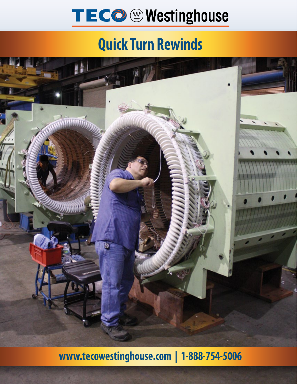# TECO @ Westinghouse

### **Quick Turn Rewinds**



**www.tecowestinghouse.com | 1-888-754-5006**